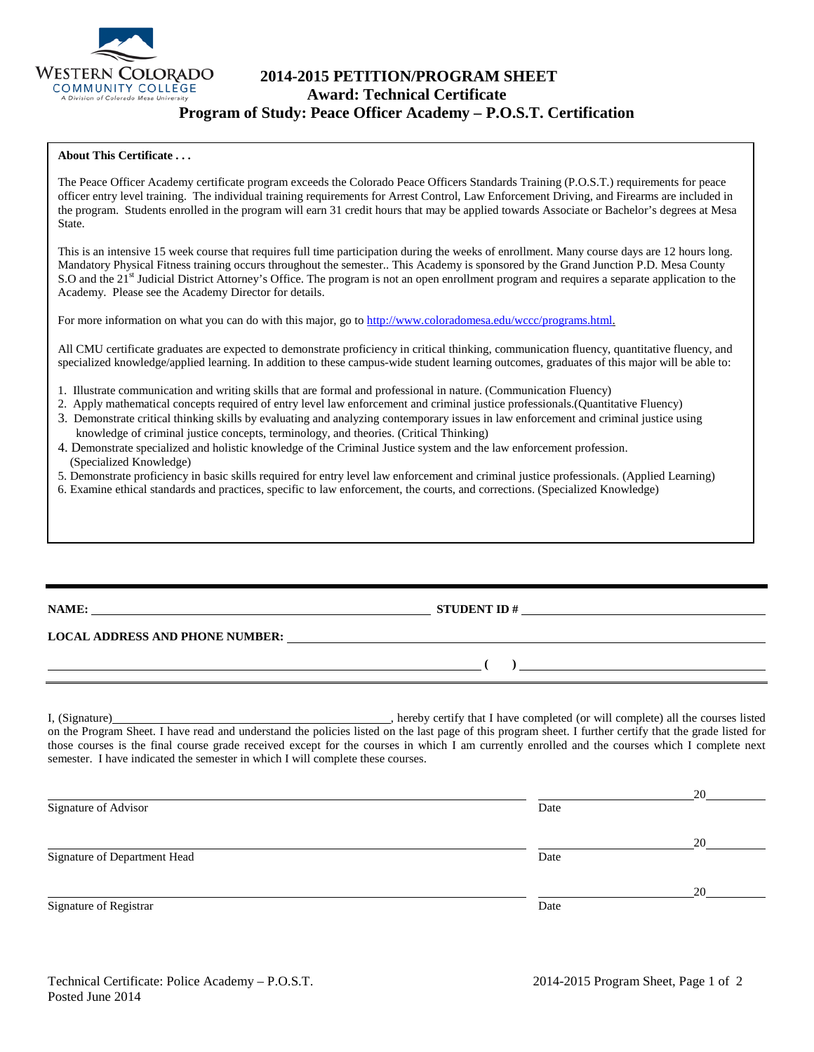

# **2014-2015 PETITION/PROGRAM SHEET Award: Technical Certificate Program of Study: Peace Officer Academy – P.O.S.T. Certification**

### **About This Certificate . . .**

The Peace Officer Academy certificate program exceeds the Colorado Peace Officers Standards Training (P.O.S.T.) requirements for peace officer entry level training. The individual training requirements for Arrest Control, Law Enforcement Driving, and Firearms are included in the program. Students enrolled in the program will earn 31 credit hours that may be applied towards Associate or Bachelor's degrees at Mesa State.

This is an intensive 15 week course that requires full time participation during the weeks of enrollment. Many course days are 12 hours long. Mandatory Physical Fitness training occurs throughout the semester.. This Academy is sponsored by the Grand Junction P.D. Mesa County S.O and the 21<sup>st</sup> Judicial District Attorney's Office. The program is not an open enrollment program and requires a separate application to the Academy. Please see the Academy Director for details.

For more information on what you can do with this major, go to [http://www.coloradomesa.edu/wccc/programs.html.](http://www.coloradomesa.edu/wccc/programs.html)

All CMU certificate graduates are expected to demonstrate proficiency in critical thinking, communication fluency, quantitative fluency, and specialized knowledge/applied learning. In addition to these campus-wide student learning outcomes, graduates of this major will be able to:

- 1. Illustrate communication and writing skills that are formal and professional in nature. (Communication Fluency)
- 2. Apply mathematical concepts required of entry level law enforcement and criminal justice professionals.(Quantitative Fluency)
- 3. Demonstrate critical thinking skills by evaluating and analyzing contemporary issues in law enforcement and criminal justice using knowledge of criminal justice concepts, terminology, and theories. (Critical Thinking)
- 4. Demonstrate specialized and holistic knowledge of the Criminal Justice system and the law enforcement profession. (Specialized Knowledge)
- 5. Demonstrate proficiency in basic skills required for entry level law enforcement and criminal justice professionals. (Applied Learning)
- 6. Examine ethical standards and practices, specific to law enforcement, the courts, and corrections. (Specialized Knowledge)

| NAME:                                  | <b>STUDENT ID#</b> |
|----------------------------------------|--------------------|
| <b>LOCAL ADDRESS AND PHONE NUMBER:</b> |                    |
|                                        |                    |

I, (Signature) , hereby certify that I have completed (or will complete) all the courses listed on the Program Sheet. I have read and understand the policies listed on the last page of this program sheet. I further certify that the grade listed for those courses is the final course grade received except for the courses in which I am currently enrolled and the courses which I complete next semester. I have indicated the semester in which I will complete these courses.

|                              |      | 20 |
|------------------------------|------|----|
| Signature of Advisor         | Date |    |
|                              |      | 20 |
| Signature of Department Head | Date |    |
|                              |      | 20 |
| Signature of Registrar       | Date |    |